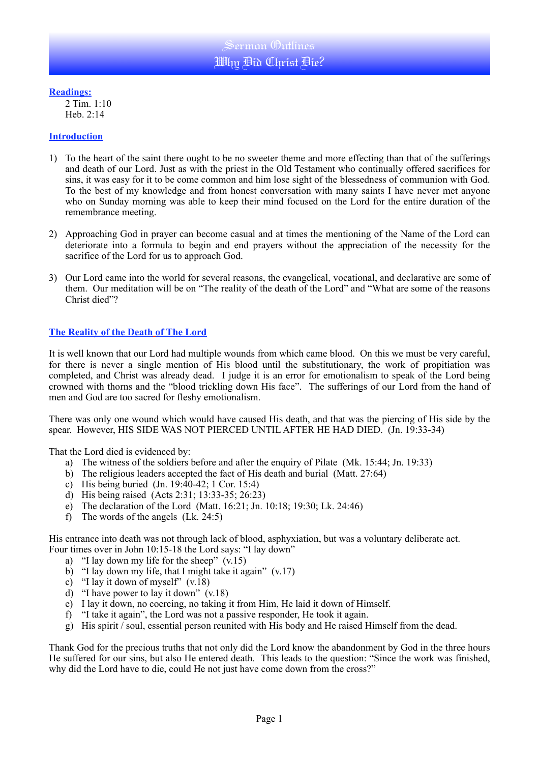### **Readings:**

2 Tim. 1:10 Heb. 2:14

#### **Introduction**

- 1) To the heart of the saint there ought to be no sweeter theme and more effecting than that of the sufferings and death of our Lord. Just as with the priest in the Old Testament who continually offered sacrifices for sins, it was easy for it to be come common and him lose sight of the blessedness of communion with God. To the best of my knowledge and from honest conversation with many saints I have never met anyone who on Sunday morning was able to keep their mind focused on the Lord for the entire duration of the remembrance meeting.
- 2) Approaching God in prayer can become casual and at times the mentioning of the Name of the Lord can deteriorate into a formula to begin and end prayers without the appreciation of the necessity for the sacrifice of the Lord for us to approach God.
- 3) Our Lord came into the world for several reasons, the evangelical, vocational, and declarative are some of them. Our meditation will be on "The reality of the death of the Lord" and "What are some of the reasons Christ died"?

## **The Reality of the Death of The Lord**

It is well known that our Lord had multiple wounds from which came blood. On this we must be very careful, for there is never a single mention of His blood until the substitutionary, the work of propitiation was completed, and Christ was already dead. I judge it is an error for emotionalism to speak of the Lord being crowned with thorns and the "blood trickling down His face". The sufferings of our Lord from the hand of men and God are too sacred for fleshy emotionalism.

There was only one wound which would have caused His death, and that was the piercing of His side by the spear. However, HIS SIDE WAS NOT PIERCED UNTIL AFTER HE HAD DIED. (Jn. 19:33-34)

That the Lord died is evidenced by:

- a) The witness of the soldiers before and after the enquiry of Pilate (Mk. 15:44; Jn. 19:33)
- b) The religious leaders accepted the fact of His death and burial (Matt. 27:64)
- c) His being buried (Jn. 19:40-42; 1 Cor. 15:4)
- d) His being raised (Acts 2:31; 13:33-35; 26:23)
- e) The declaration of the Lord (Matt. 16:21; Jn. 10:18; 19:30; Lk. 24:46)
- f) The words of the angels (Lk. 24:5)

His entrance into death was not through lack of blood, asphyxiation, but was a voluntary deliberate act. Four times over in John 10:15-18 the Lord says: "I lay down"

- a) "I lay down my life for the sheep"  $(v.15)$
- b) "I lay down my life, that I might take it again" (v.17)
- c) "I lay it down of myself" (v.18)
- d) "I have power to lay it down" (v.18)
- e) I lay it down, no coercing, no taking it from Him, He laid it down of Himself.
- f) "I take it again", the Lord was not a passive responder, He took it again.
- g) His spirit / soul, essential person reunited with His body and He raised Himself from the dead.

Thank God for the precious truths that not only did the Lord know the abandonment by God in the three hours He suffered for our sins, but also He entered death. This leads to the question: "Since the work was finished, why did the Lord have to die, could He not just have come down from the cross?"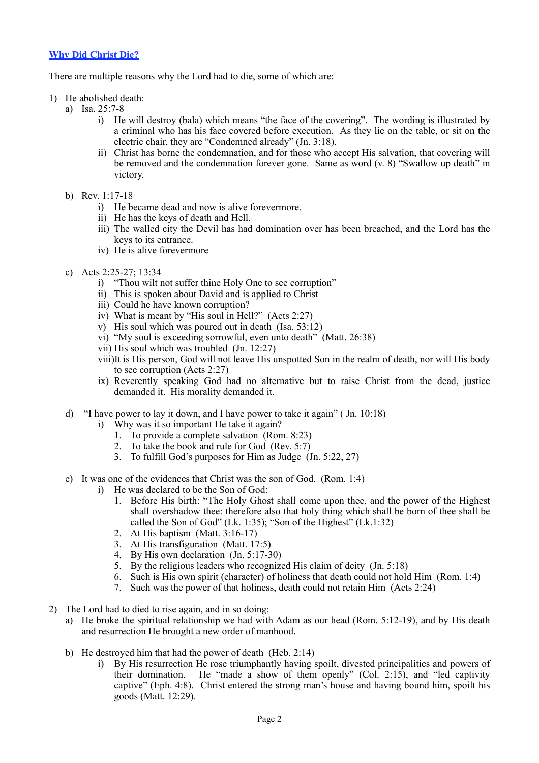# **Why Did Christ Die?**

There are multiple reasons why the Lord had to die, some of which are:

- 1) He abolished death:
	- a) Isa. 25:7-8
		- i) He will destroy (bala) which means "the face of the covering". The wording is illustrated by a criminal who has his face covered before execution. As they lie on the table, or sit on the electric chair, they are "Condemned already" (Jn. 3:18).
		- ii) Christ has borne the condemnation, and for those who accept His salvation, that covering will be removed and the condemnation forever gone. Same as word (v. 8) "Swallow up death" in victory.
	- b) Rev. 1:17-18
		- i) He became dead and now is alive forevermore.
		- ii) He has the keys of death and Hell.
		- iii) The walled city the Devil has had domination over has been breached, and the Lord has the keys to its entrance.
		- iv) He is alive forevermore
	- c) Acts 2:25-27; 13:34
		- i) "Thou wilt not suffer thine Holy One to see corruption"
		- ii) This is spoken about David and is applied to Christ
		- iii) Could he have known corruption?
		- iv) What is meant by "His soul in Hell?" (Acts 2:27)
		- v) His soul which was poured out in death (Isa. 53:12)
		- vi) "My soul is exceeding sorrowful, even unto death" (Matt. 26:38)
		- vii) His soul which was troubled (Jn. 12:27)
		- viii)It is His person, God will not leave His unspotted Son in the realm of death, nor will His body to see corruption (Acts 2:27)
		- ix) Reverently speaking God had no alternative but to raise Christ from the dead, justice demanded it. His morality demanded it.
	- d) "I have power to lay it down, and I have power to take it again" ( Jn. 10:18)
		- i) Why was it so important He take it again?
			- 1. To provide a complete salvation (Rom. 8:23)
			- 2. To take the book and rule for God (Rev. 5:7)
			- 3. To fulfill God's purposes for Him as Judge (Jn. 5:22, 27)
	- e) It was one of the evidences that Christ was the son of God. (Rom. 1:4)
		- i) He was declared to be the Son of God:
			- 1. Before His birth: "The Holy Ghost shall come upon thee, and the power of the Highest shall overshadow thee: therefore also that holy thing which shall be born of thee shall be called the Son of God" (Lk. 1:35); "Son of the Highest" (Lk.1:32)
			- 2. At His baptism (Matt. 3:16-17)
			- 3. At His transfiguration (Matt. 17:5)
			- 4. By His own declaration (Jn. 5:17-30)
			- 5. By the religious leaders who recognized His claim of deity (Jn. 5:18)
			- 6. Such is His own spirit (character) of holiness that death could not hold Him (Rom. 1:4)
			- 7. Such was the power of that holiness, death could not retain Him (Acts 2:24)
- 2) The Lord had to died to rise again, and in so doing:
	- a) He broke the spiritual relationship we had with Adam as our head (Rom. 5:12-19), and by His death and resurrection He brought a new order of manhood.
	- b) He destroyed him that had the power of death (Heb. 2:14)
		- i) By His resurrection He rose triumphantly having spoilt, divested principalities and powers of their domination. He "made a show of them openly" (Col. 2:15), and "led captivity captive" (Eph. 4:8). Christ entered the strong man's house and having bound him, spoilt his goods (Matt. 12:29).